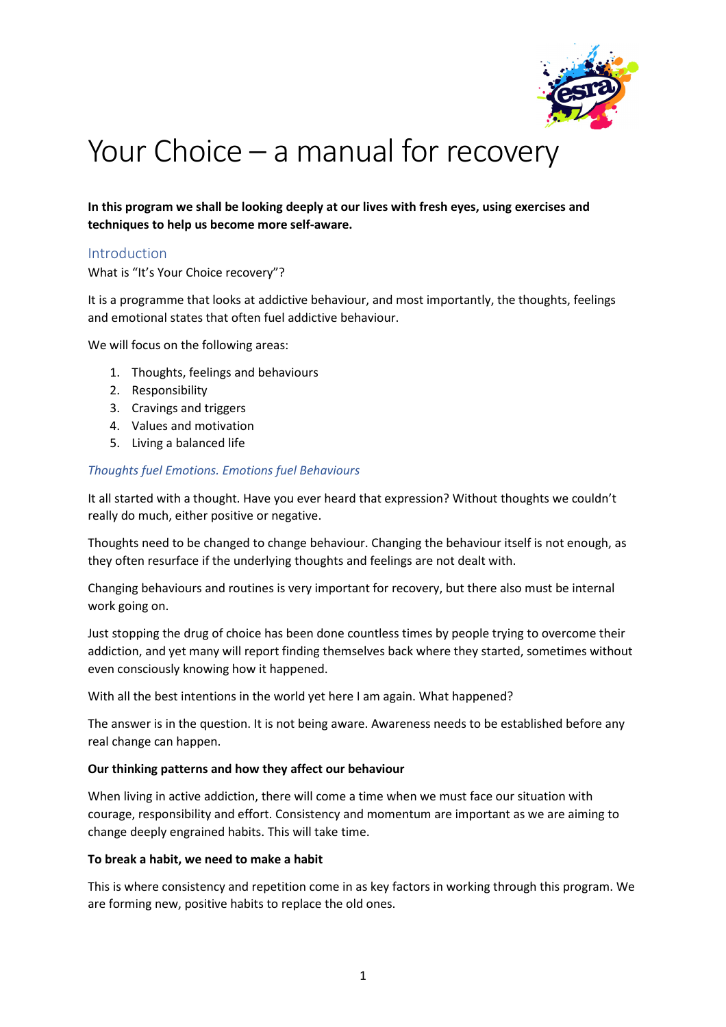

# Your Choice – a manual for recovery

**In this program we shall be looking deeply at our lives with fresh eyes, using exercises and techniques to help us become more self-aware.** 

# Introduction

What is "It's Your Choice recovery"?

It is a programme that looks at addictive behaviour, and most importantly, the thoughts, feelings and emotional states that often fuel addictive behaviour.

We will focus on the following areas:

- 1. Thoughts, feelings and behaviours
- 2. Responsibility
- 3. Cravings and triggers
- 4. Values and motivation
- 5. Living a balanced life

#### *Thoughts fuel Emotions. Emotions fuel Behaviours*

It all started with a thought. Have you ever heard that expression? Without thoughts we couldn't really do much, either positive or negative.

Thoughts need to be changed to change behaviour. Changing the behaviour itself is not enough, as they often resurface if the underlying thoughts and feelings are not dealt with.

Changing behaviours and routines is very important for recovery, but there also must be internal work going on.

Just stopping the drug of choice has been done countless times by people trying to overcome their addiction, and yet many will report finding themselves back where they started, sometimes without even consciously knowing how it happened.

With all the best intentions in the world yet here I am again. What happened?

The answer is in the question. It is not being aware. Awareness needs to be established before any real change can happen.

#### **Our thinking patterns and how they affect our behaviour**

When living in active addiction, there will come a time when we must face our situation with courage, responsibility and effort. Consistency and momentum are important as we are aiming to change deeply engrained habits. This will take time.

#### **To break a habit, we need to make a habit**

This is where consistency and repetition come in as key factors in working through this program. We are forming new, positive habits to replace the old ones.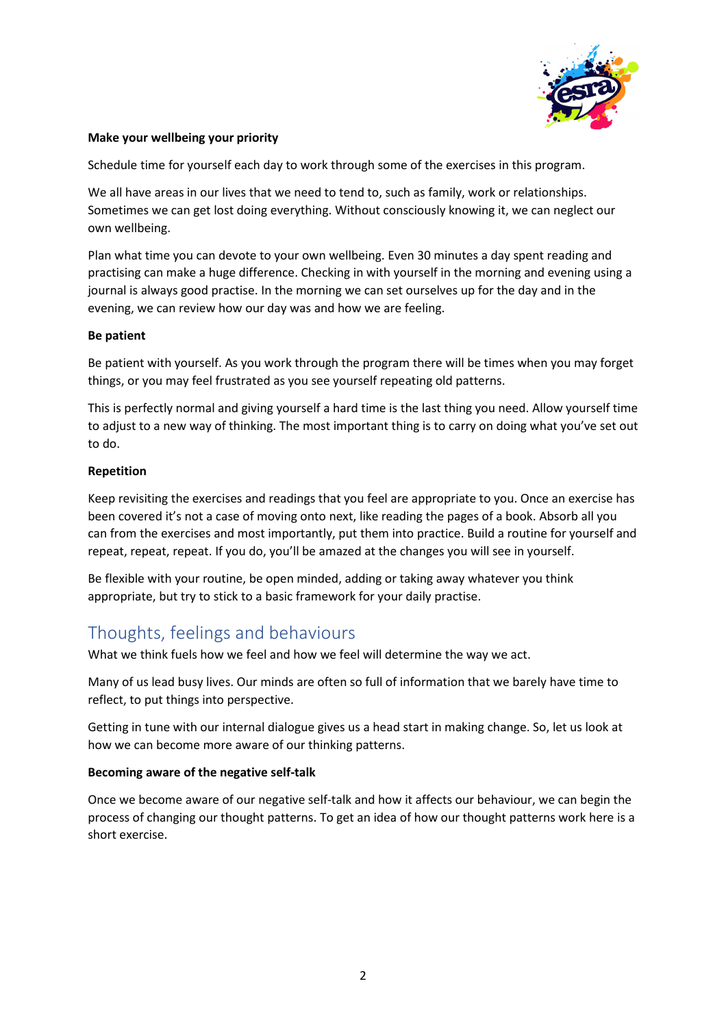

# **Make your wellbeing your priority**

Schedule time for yourself each day to work through some of the exercises in this program.

We all have areas in our lives that we need to tend to, such as family, work or relationships. Sometimes we can get lost doing everything. Without consciously knowing it, we can neglect our own wellbeing.

Plan what time you can devote to your own wellbeing. Even 30 minutes a day spent reading and practising can make a huge difference. Checking in with yourself in the morning and evening using a journal is always good practise. In the morning we can set ourselves up for the day and in the evening, we can review how our day was and how we are feeling.

# **Be patient**

Be patient with yourself. As you work through the program there will be times when you may forget things, or you may feel frustrated as you see yourself repeating old patterns.

This is perfectly normal and giving yourself a hard time is the last thing you need. Allow yourself time to adjust to a new way of thinking. The most important thing is to carry on doing what you've set out to do.

# **Repetition**

Keep revisiting the exercises and readings that you feel are appropriate to you. Once an exercise has been covered it's not a case of moving onto next, like reading the pages of a book. Absorb all you can from the exercises and most importantly, put them into practice. Build a routine for yourself and repeat, repeat, repeat. If you do, you'll be amazed at the changes you will see in yourself.

Be flexible with your routine, be open minded, adding or taking away whatever you think appropriate, but try to stick to a basic framework for your daily practise.

# Thoughts, feelings and behaviours

What we think fuels how we feel and how we feel will determine the way we act.

Many of us lead busy lives. Our minds are often so full of information that we barely have time to reflect, to put things into perspective.

Getting in tune with our internal dialogue gives us a head start in making change. So, let us look at how we can become more aware of our thinking patterns.

# **Becoming aware of the negative self-talk**

Once we become aware of our negative self-talk and how it affects our behaviour, we can begin the process of changing our thought patterns. To get an idea of how our thought patterns work here is a short exercise.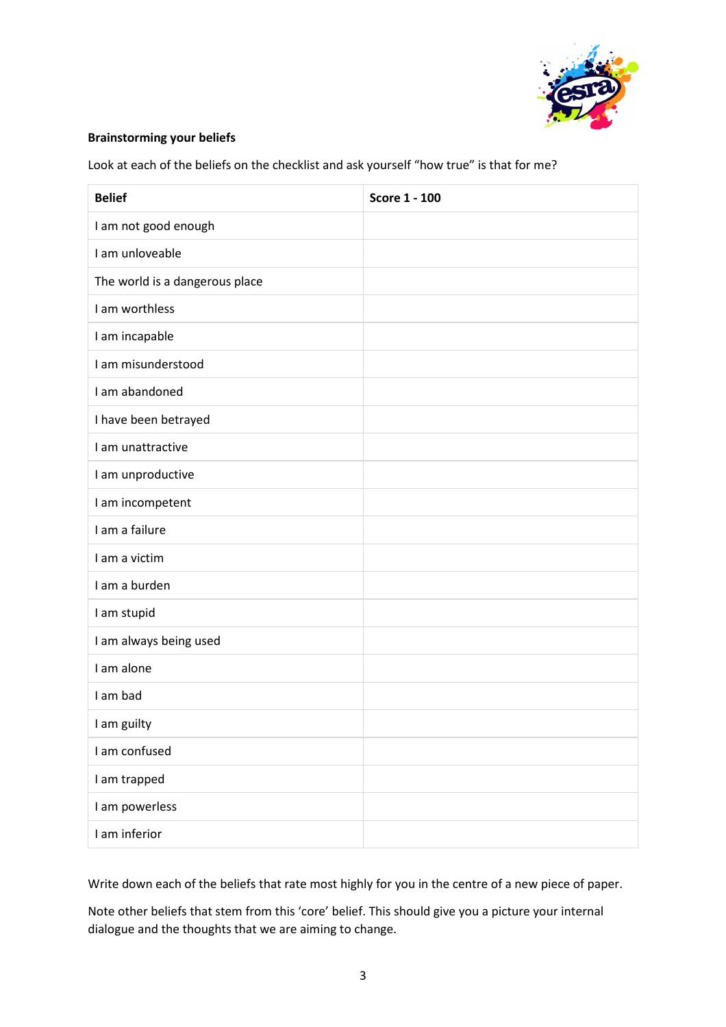

# **Brainstorming your beliefs**

Look at each of the beliefs on the checklist and ask yourself "how true" is that for me?

| <b>Belief</b>                  | <b>Score 1 - 100</b> |
|--------------------------------|----------------------|
| I am not good enough           |                      |
| I am unloveable                |                      |
| The world is a dangerous place |                      |
| I am worthless                 |                      |
| I am incapable                 |                      |
| I am misunderstood             |                      |
| I am abandoned                 |                      |
| I have been betrayed           |                      |
| I am unattractive              |                      |
| I am unproductive              |                      |
| I am incompetent               |                      |
| I am a failure                 |                      |
| I am a victim                  |                      |
| I am a burden                  |                      |
| I am stupid                    |                      |
| I am always being used         |                      |
| I am alone                     |                      |
| I am bad                       |                      |
| I am guilty                    |                      |
| I am confused                  |                      |
| I am trapped                   |                      |
| I am powerless                 |                      |
| I am inferior                  |                      |

Write down each of the beliefs that rate most highly for you in the centre of a new piece of paper.

Note other beliefs that stem from this 'core' belief. This should give you a picture your internal dialogue and the thoughts that we are aiming to change.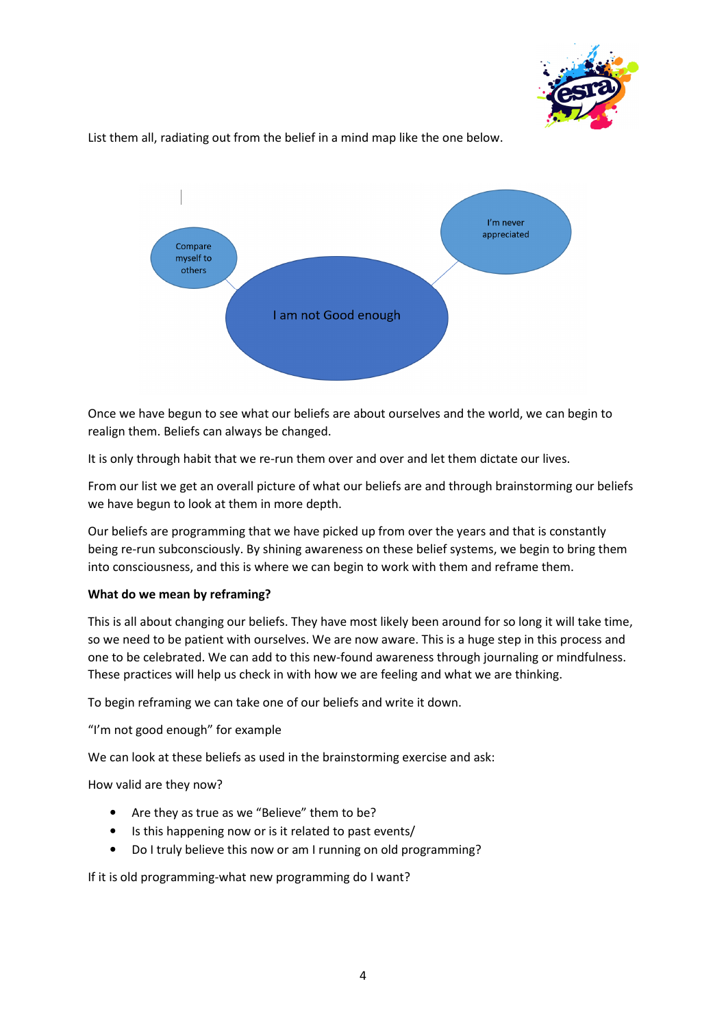

List them all, radiating out from the belief in a mind map like the one below.



Once we have begun to see what our beliefs are about ourselves and the world, we can begin to realign them. Beliefs can always be changed.

It is only through habit that we re-run them over and over and let them dictate our lives.

From our list we get an overall picture of what our beliefs are and through brainstorming our beliefs we have begun to look at them in more depth.

Our beliefs are programming that we have picked up from over the years and that is constantly being re-run subconsciously. By shining awareness on these belief systems, we begin to bring them into consciousness, and this is where we can begin to work with them and reframe them.

# **What do we mean by reframing?**

This is all about changing our beliefs. They have most likely been around for so long it will take time, so we need to be patient with ourselves. We are now aware. This is a huge step in this process and one to be celebrated. We can add to this new-found awareness through journaling or mindfulness. These practices will help us check in with how we are feeling and what we are thinking.

To begin reframing we can take one of our beliefs and write it down.

"I'm not good enough" for example

We can look at these beliefs as used in the brainstorming exercise and ask:

How valid are they now?

- Are they as true as we "Believe" them to be?
- Is this happening now or is it related to past events/
- Do I truly believe this now or am I running on old programming?

If it is old programming-what new programming do I want?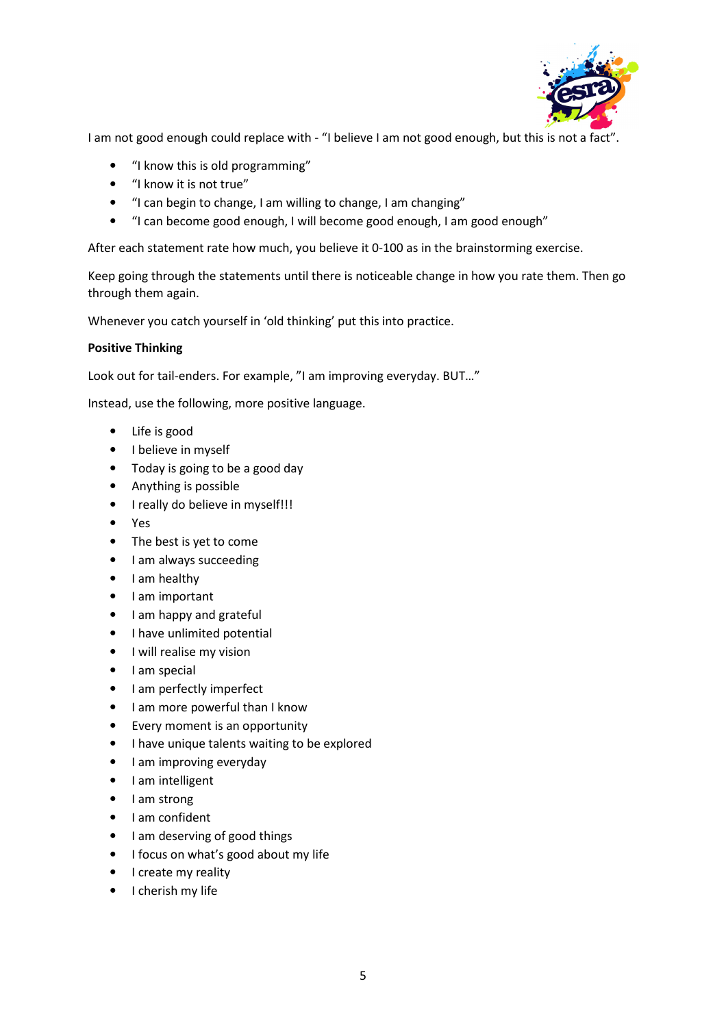

I am not good enough could replace with - "I believe I am not good enough, but this is not a fact".

- "I know this is old programming"
- "I know it is not true"
- "I can begin to change, I am willing to change, I am changing"
- "I can become good enough, I will become good enough, I am good enough"

After each statement rate how much, you believe it 0-100 as in the brainstorming exercise.

Keep going through the statements until there is noticeable change in how you rate them. Then go through them again.

Whenever you catch yourself in 'old thinking' put this into practice.

# **Positive Thinking**

Look out for tail-enders. For example, "I am improving everyday. BUT…"

Instead, use the following, more positive language.

- Life is good
- I believe in myself
- Today is going to be a good day
- Anything is possible
- I really do believe in myself!!!
- Yes
- The best is yet to come
- I am always succeeding
- I am healthy
- I am important
- I am happy and grateful
- I have unlimited potential
- I will realise my vision
- I am special
- I am perfectly imperfect
- I am more powerful than I know
- Every moment is an opportunity
- I have unique talents waiting to be explored
- I am improving everyday
- I am intelligent
- I am strong
- I am confident
- I am deserving of good things
- I focus on what's good about my life
- I create my reality
- I cherish my life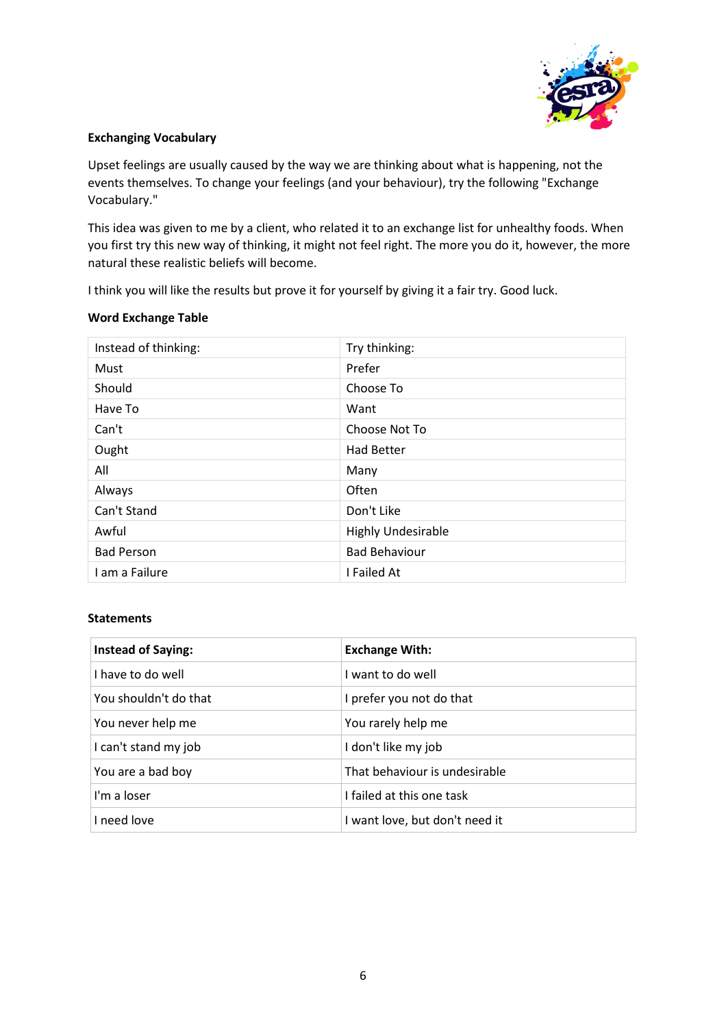

# **Exchanging Vocabulary**

Upset feelings are usually caused by the way we are thinking about what is happening, not the events themselves. To change your feelings (and your behaviour), try the following "Exchange Vocabulary."

This idea was given to me by a client, who related it to an exchange list for unhealthy foods. When you first try this new way of thinking, it might not feel right. The more you do it, however, the more natural these realistic beliefs will become.

I think you will like the results but prove it for yourself by giving it a fair try. Good luck.

# **Word Exchange Table**

| Instead of thinking: | Try thinking:             |
|----------------------|---------------------------|
| Must                 | Prefer                    |
| Should               | Choose To                 |
| Have To              | Want                      |
| Can't                | Choose Not To             |
| Ought                | <b>Had Better</b>         |
| All                  | Many                      |
| Always               | Often                     |
| Can't Stand          | Don't Like                |
| Awful                | <b>Highly Undesirable</b> |
| <b>Bad Person</b>    | <b>Bad Behaviour</b>      |
| I am a Failure       | I Failed At               |

# **Statements**

| <b>Instead of Saying:</b> | <b>Exchange With:</b>          |
|---------------------------|--------------------------------|
| I have to do well         | I want to do well              |
| You shouldn't do that     | I prefer you not do that       |
| You never help me         | You rarely help me             |
| I can't stand my job      | I don't like my job            |
| You are a bad boy         | That behaviour is undesirable  |
| I'm a loser               | I failed at this one task      |
| I need love               | I want love, but don't need it |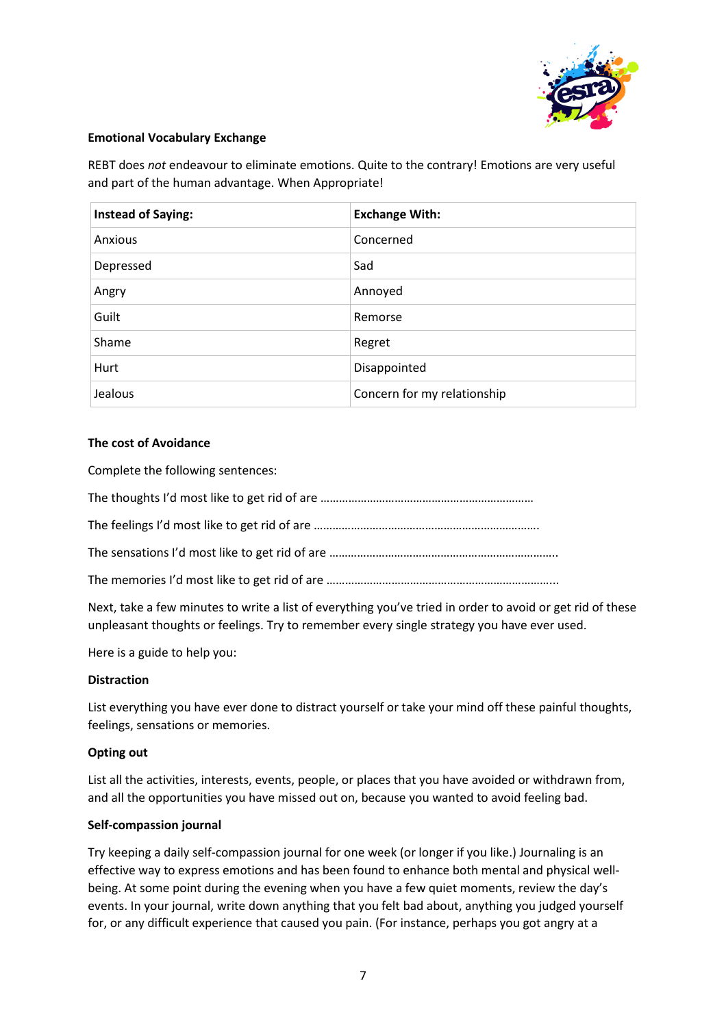

# **Emotional Vocabulary Exchange**

REBT does *not* endeavour to eliminate emotions. Quite to the contrary! Emotions are very useful and part of the human advantage. When Appropriate!

| <b>Instead of Saying:</b> | <b>Exchange With:</b>       |
|---------------------------|-----------------------------|
| Anxious                   | Concerned                   |
| Depressed                 | Sad                         |
| Angry                     | Annoyed                     |
| Guilt                     | Remorse                     |
| Shame                     | Regret                      |
| Hurt                      | Disappointed                |
| Jealous                   | Concern for my relationship |

# **The cost of Avoidance**

Complete the following sentences:

The thoughts I'd most like to get rid of are ……………………………………………………………

The feelings I'd most like to get rid of are ……………………………………………………………….

The sensations I'd most like to get rid of are ………………………………………………………………..

The memories I'd most like to get rid of are ………………………………………………………………...

Next, take a few minutes to write a list of everything you've tried in order to avoid or get rid of these unpleasant thoughts or feelings. Try to remember every single strategy you have ever used.

Here is a guide to help you:

# **Distraction**

List everything you have ever done to distract yourself or take your mind off these painful thoughts, feelings, sensations or memories.

# **Opting out**

List all the activities, interests, events, people, or places that you have avoided or withdrawn from, and all the opportunities you have missed out on, because you wanted to avoid feeling bad.

# **Self-compassion journal**

Try keeping a daily self-compassion journal for one week (or longer if you like.) Journaling is an effective way to express emotions and has been found to enhance both mental and physical wellbeing. At some point during the evening when you have a few quiet moments, review the day's events. In your journal, write down anything that you felt bad about, anything you judged yourself for, or any difficult experience that caused you pain. (For instance, perhaps you got angry at a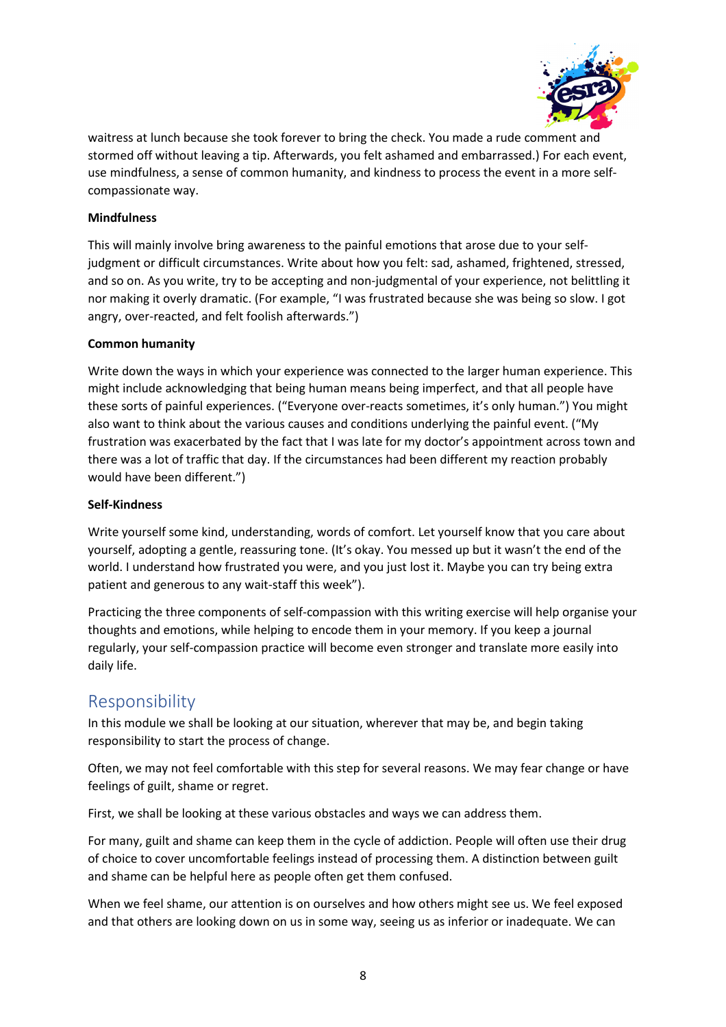

waitress at lunch because she took forever to bring the check. You made a rude comment and stormed off without leaving a tip. Afterwards, you felt ashamed and embarrassed.) For each event, use mindfulness, a sense of common humanity, and kindness to process the event in a more selfcompassionate way.

# **Mindfulness**

This will mainly involve bring awareness to the painful emotions that arose due to your selfjudgment or difficult circumstances. Write about how you felt: sad, ashamed, frightened, stressed, and so on. As you write, try to be accepting and non-judgmental of your experience, not belittling it nor making it overly dramatic. (For example, "I was frustrated because she was being so slow. I got angry, over-reacted, and felt foolish afterwards.")

# **Common humanity**

Write down the ways in which your experience was connected to the larger human experience. This might include acknowledging that being human means being imperfect, and that all people have these sorts of painful experiences. ("Everyone over-reacts sometimes, it's only human.") You might also want to think about the various causes and conditions underlying the painful event. ("My frustration was exacerbated by the fact that I was late for my doctor's appointment across town and there was a lot of traffic that day. If the circumstances had been different my reaction probably would have been different.")

# **Self-Kindness**

Write yourself some kind, understanding, words of comfort. Let yourself know that you care about yourself, adopting a gentle, reassuring tone. (It's okay. You messed up but it wasn't the end of the world. I understand how frustrated you were, and you just lost it. Maybe you can try being extra patient and generous to any wait-staff this week").

Practicing the three components of self-compassion with this writing exercise will help organise your thoughts and emotions, while helping to encode them in your memory. If you keep a journal regularly, your self-compassion practice will become even stronger and translate more easily into daily life.

# Responsibility

In this module we shall be looking at our situation, wherever that may be, and begin taking responsibility to start the process of change.

Often, we may not feel comfortable with this step for several reasons. We may fear change or have feelings of guilt, shame or regret.

First, we shall be looking at these various obstacles and ways we can address them.

For many, guilt and shame can keep them in the cycle of addiction. People will often use their drug of choice to cover uncomfortable feelings instead of processing them. A distinction between guilt and shame can be helpful here as people often get them confused.

When we feel shame, our attention is on ourselves and how others might see us. We feel exposed and that others are looking down on us in some way, seeing us as inferior or inadequate. We can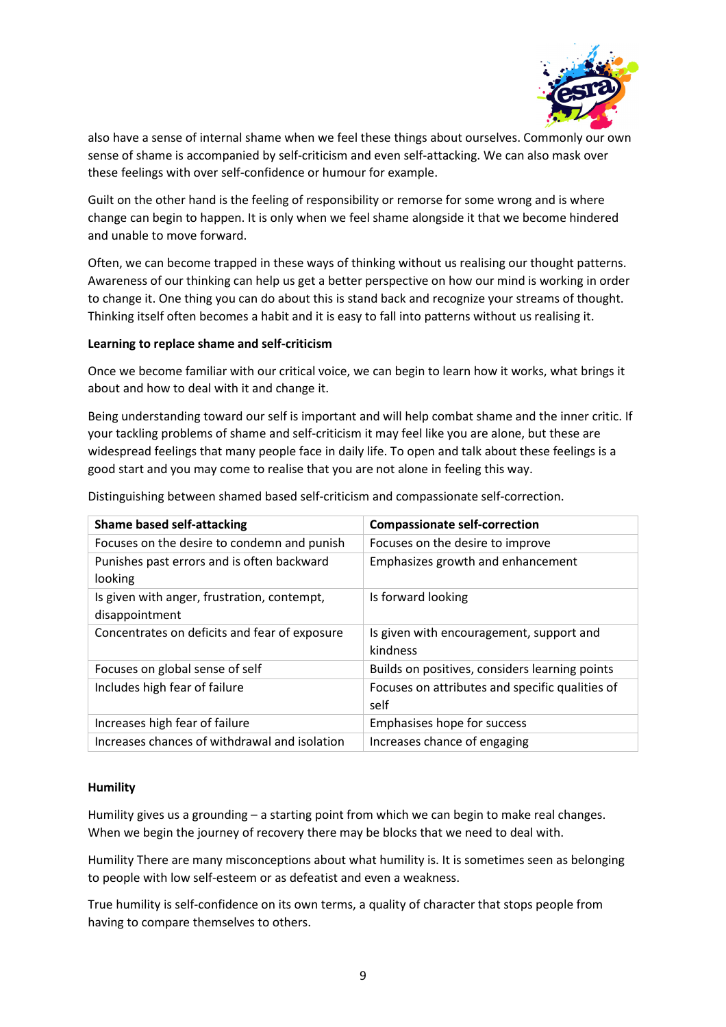

also have a sense of internal shame when we feel these things about ourselves. Commonly our own sense of shame is accompanied by self-criticism and even self-attacking. We can also mask over these feelings with over self-confidence or humour for example.

Guilt on the other hand is the feeling of responsibility or remorse for some wrong and is where change can begin to happen. It is only when we feel shame alongside it that we become hindered and unable to move forward.

Often, we can become trapped in these ways of thinking without us realising our thought patterns. Awareness of our thinking can help us get a better perspective on how our mind is working in order to change it. One thing you can do about this is stand back and recognize your streams of thought. Thinking itself often becomes a habit and it is easy to fall into patterns without us realising it.

# **Learning to replace shame and self-criticism**

Once we become familiar with our critical voice, we can begin to learn how it works, what brings it about and how to deal with it and change it.

Being understanding toward our self is important and will help combat shame and the inner critic. If your tackling problems of shame and self-criticism it may feel like you are alone, but these are widespread feelings that many people face in daily life. To open and talk about these feelings is a good start and you may come to realise that you are not alone in feeling this way.

| <b>Shame based self-attacking</b>                             | <b>Compassionate self-correction</b>                    |
|---------------------------------------------------------------|---------------------------------------------------------|
| Focuses on the desire to condemn and punish                   | Focuses on the desire to improve                        |
| Punishes past errors and is often backward<br>looking         | Emphasizes growth and enhancement                       |
| Is given with anger, frustration, contempt,<br>disappointment | Is forward looking                                      |
| Concentrates on deficits and fear of exposure                 | Is given with encouragement, support and<br>kindness    |
| Focuses on global sense of self                               | Builds on positives, considers learning points          |
| Includes high fear of failure                                 | Focuses on attributes and specific qualities of<br>self |
| Increases high fear of failure                                | Emphasises hope for success                             |
| Increases chances of withdrawal and isolation                 | Increases chance of engaging                            |

Distinguishing between shamed based self-criticism and compassionate self-correction.

# **Humility**

Humility gives us a grounding – a starting point from which we can begin to make real changes. When we begin the journey of recovery there may be blocks that we need to deal with.

Humility There are many misconceptions about what humility is. It is sometimes seen as belonging to people with low self-esteem or as defeatist and even a weakness.

True humility is self-confidence on its own terms, a quality of character that stops people from having to compare themselves to others.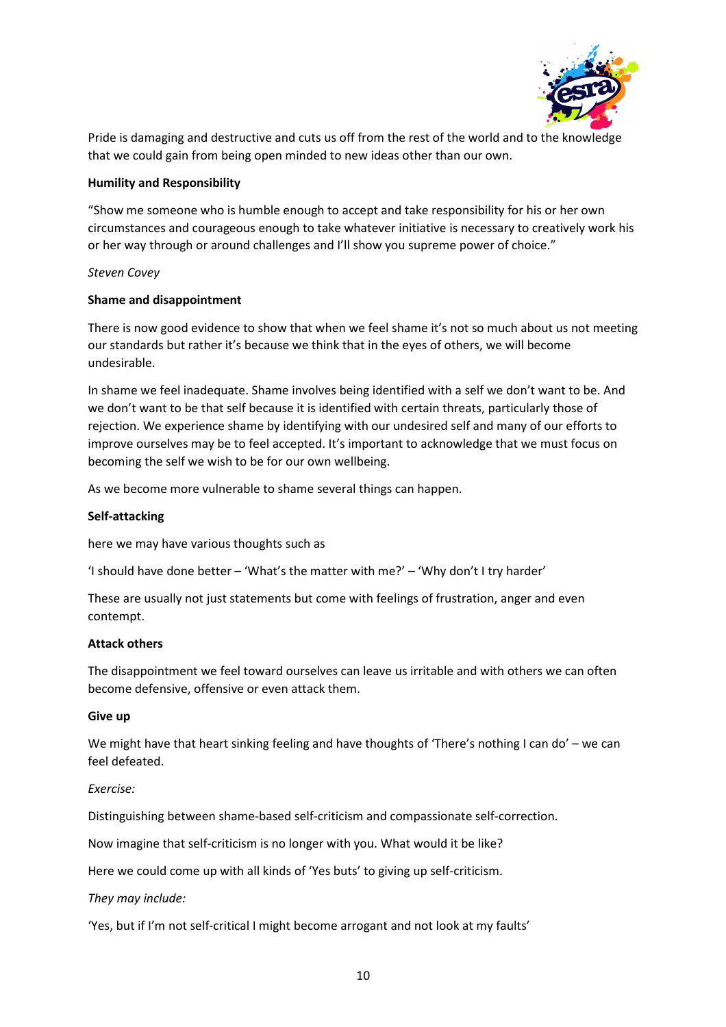

Pride is damaging and destructive and cuts us off from the rest of the world and to the knowledge that we could gain from being open minded to new ideas other than our own.

# **Humility and Responsibility**

"Show me someone who is humble enough to accept and take responsibility for his or her own circumstances and courageous enough to take whatever initiative is necessary to creatively work his or her way through or around challenges and I'll show you supreme power of choice."

# *Steven Covey*

# **Shame and disappointment**

There is now good evidence to show that when we feel shame it's not so much about us not meeting our standards but rather it's because we think that in the eyes of others, we will become undesirable.

In shame we feel inadequate. Shame involves being identified with a self we don't want to be. And we don't want to be that self because it is identified with certain threats, particularly those of rejection. We experience shame by identifying with our undesired self and many of our efforts to improve ourselves may be to feel accepted. It's important to acknowledge that we must focus on becoming the self we wish to be for our own wellbeing.

As we become more vulnerable to shame several things can happen.

# **Self-attacking**

here we may have various thoughts such as

'I should have done better – 'What's the matter with me?' – 'Why don't I try harder'

These are usually not just statements but come with feelings of frustration, anger and even contempt.

# **Attack others**

The disappointment we feel toward ourselves can leave us irritable and with others we can often become defensive, offensive or even attack them.

# **Give up**

We might have that heart sinking feeling and have thoughts of 'There's nothing I can do' – we can feel defeated.

# *Exercise:*

Distinguishing between shame-based self-criticism and compassionate self-correction.

Now imagine that self-criticism is no longer with you. What would it be like?

Here we could come up with all kinds of 'Yes buts' to giving up self-criticism.

# *They may include:*

'Yes, but if I'm not self-critical I might become arrogant and not look at my faults'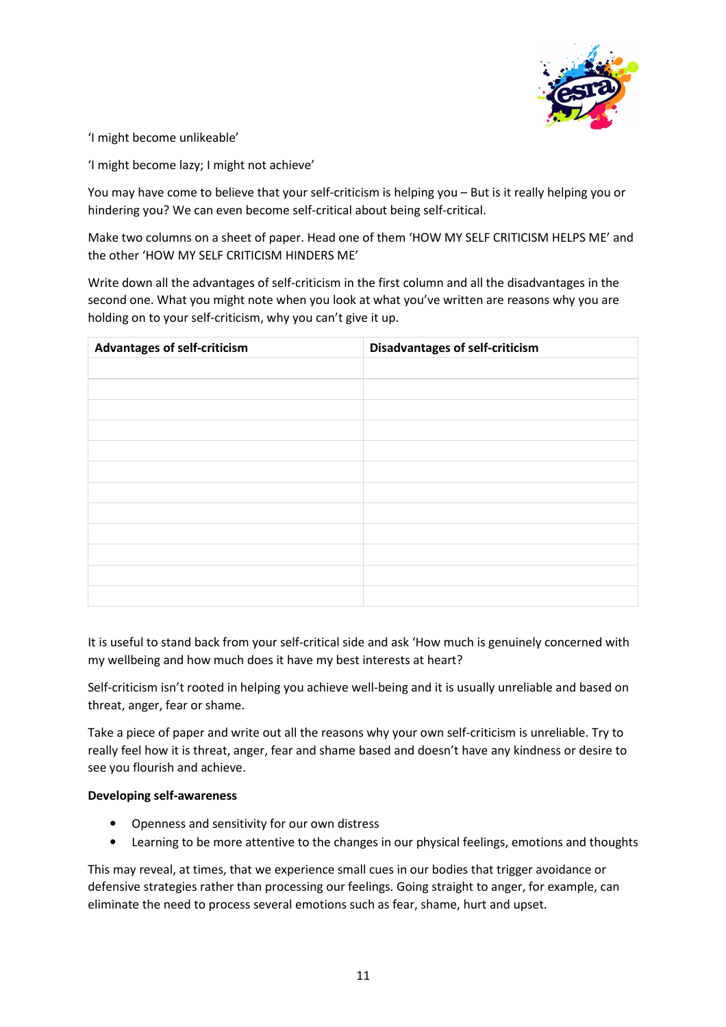

'I might become unlikeable'

'I might become lazy; I might not achieve'

You may have come to believe that your self-criticism is helping you – But is it really helping you or hindering you? We can even become self-critical about being self-critical.

Make two columns on a sheet of paper. Head one of them 'HOW MY SELF CRITICISM HELPS ME' and the other 'HOW MY SELF CRITICISM HINDERS ME'

Write down all the advantages of self-criticism in the first column and all the disadvantages in the second one. What you might note when you look at what you've written are reasons why you are holding on to your self-criticism, why you can't give it up.

| <b>Advantages of self-criticism</b> | <b>Disadvantages of self-criticism</b> |
|-------------------------------------|----------------------------------------|
|                                     |                                        |
|                                     |                                        |
|                                     |                                        |
|                                     |                                        |
|                                     |                                        |
|                                     |                                        |
|                                     |                                        |
|                                     |                                        |
|                                     |                                        |
|                                     |                                        |
|                                     |                                        |
|                                     |                                        |

It is useful to stand back from your self-critical side and ask 'How much is genuinely concerned with my wellbeing and how much does it have my best interests at heart?

Self-criticism isn't rooted in helping you achieve well-being and it is usually unreliable and based on threat, anger, fear or shame.

Take a piece of paper and write out all the reasons why your own self-criticism is unreliable. Try to really feel how it is threat, anger, fear and shame based and doesn't have any kindness or desire to see you flourish and achieve.

# **Developing self-awareness**

- Openness and sensitivity for our own distress
- Learning to be more attentive to the changes in our physical feelings, emotions and thoughts

This may reveal, at times, that we experience small cues in our bodies that trigger avoidance or defensive strategies rather than processing our feelings. Going straight to anger, for example, can eliminate the need to process several emotions such as fear, shame, hurt and upset.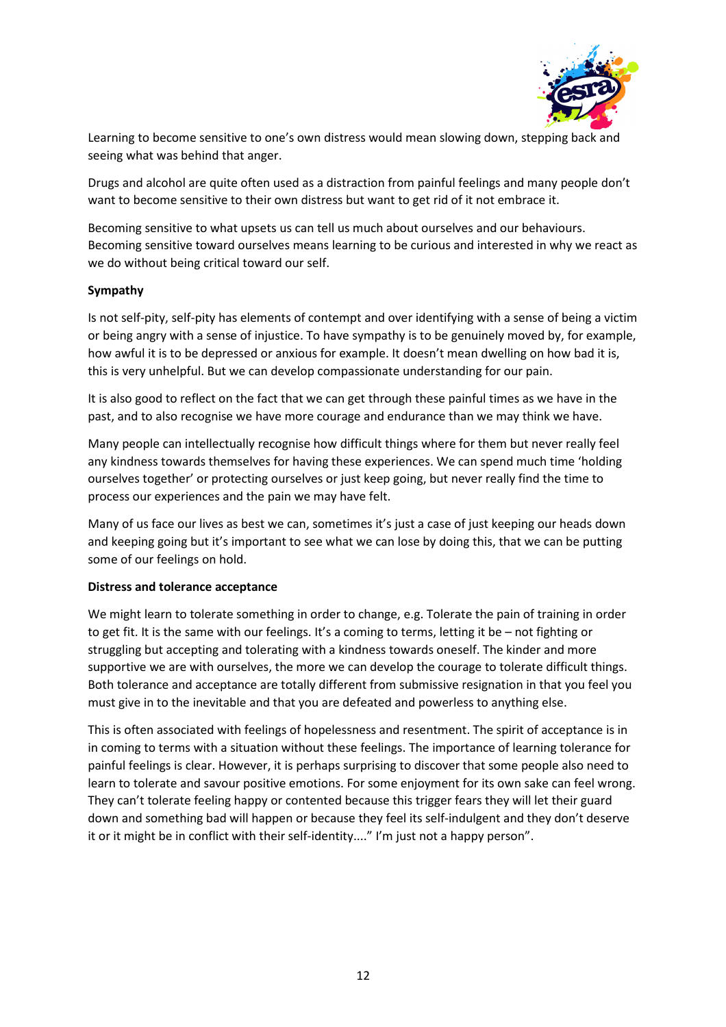

Learning to become sensitive to one's own distress would mean slowing down, stepping back and seeing what was behind that anger.

Drugs and alcohol are quite often used as a distraction from painful feelings and many people don't want to become sensitive to their own distress but want to get rid of it not embrace it.

Becoming sensitive to what upsets us can tell us much about ourselves and our behaviours. Becoming sensitive toward ourselves means learning to be curious and interested in why we react as we do without being critical toward our self.

# **Sympathy**

Is not self-pity, self-pity has elements of contempt and over identifying with a sense of being a victim or being angry with a sense of injustice. To have sympathy is to be genuinely moved by, for example, how awful it is to be depressed or anxious for example. It doesn't mean dwelling on how bad it is, this is very unhelpful. But we can develop compassionate understanding for our pain.

It is also good to reflect on the fact that we can get through these painful times as we have in the past, and to also recognise we have more courage and endurance than we may think we have.

Many people can intellectually recognise how difficult things where for them but never really feel any kindness towards themselves for having these experiences. We can spend much time 'holding ourselves together' or protecting ourselves or just keep going, but never really find the time to process our experiences and the pain we may have felt.

Many of us face our lives as best we can, sometimes it's just a case of just keeping our heads down and keeping going but it's important to see what we can lose by doing this, that we can be putting some of our feelings on hold.

# **Distress and tolerance acceptance**

We might learn to tolerate something in order to change, e.g. Tolerate the pain of training in order to get fit. It is the same with our feelings. It's a coming to terms, letting it be – not fighting or struggling but accepting and tolerating with a kindness towards oneself. The kinder and more supportive we are with ourselves, the more we can develop the courage to tolerate difficult things. Both tolerance and acceptance are totally different from submissive resignation in that you feel you must give in to the inevitable and that you are defeated and powerless to anything else.

This is often associated with feelings of hopelessness and resentment. The spirit of acceptance is in in coming to terms with a situation without these feelings. The importance of learning tolerance for painful feelings is clear. However, it is perhaps surprising to discover that some people also need to learn to tolerate and savour positive emotions. For some enjoyment for its own sake can feel wrong. They can't tolerate feeling happy or contented because this trigger fears they will let their guard down and something bad will happen or because they feel its self-indulgent and they don't deserve it or it might be in conflict with their self-identity...." I'm just not a happy person".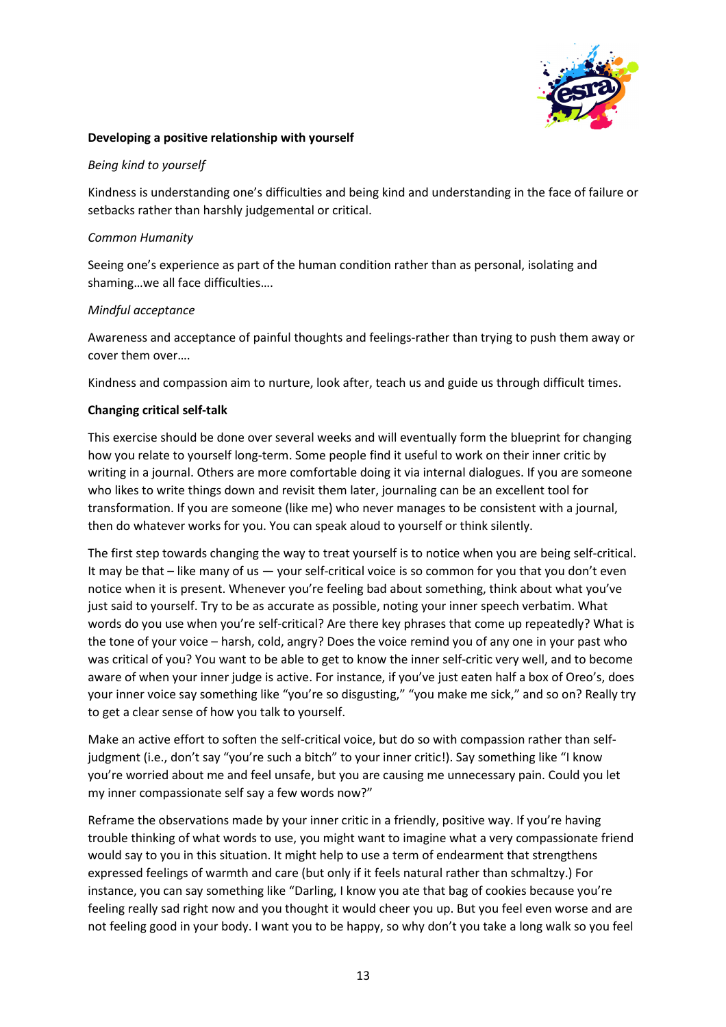

# **Developing a positive relationship with yourself**

# *Being kind to yourself*

Kindness is understanding one's difficulties and being kind and understanding in the face of failure or setbacks rather than harshly judgemental or critical.

# *Common Humanity*

Seeing one's experience as part of the human condition rather than as personal, isolating and shaming…we all face difficulties….

# *Mindful acceptance*

Awareness and acceptance of painful thoughts and feelings-rather than trying to push them away or cover them over….

Kindness and compassion aim to nurture, look after, teach us and guide us through difficult times.

# **Changing critical self-talk**

This exercise should be done over several weeks and will eventually form the blueprint for changing how you relate to yourself long-term. Some people find it useful to work on their inner critic by writing in a journal. Others are more comfortable doing it via internal dialogues. If you are someone who likes to write things down and revisit them later, journaling can be an excellent tool for transformation. If you are someone (like me) who never manages to be consistent with a journal, then do whatever works for you. You can speak aloud to yourself or think silently.

The first step towards changing the way to treat yourself is to notice when you are being self-critical. It may be that – like many of us — your self-critical voice is so common for you that you don't even notice when it is present. Whenever you're feeling bad about something, think about what you've just said to yourself. Try to be as accurate as possible, noting your inner speech verbatim. What words do you use when you're self-critical? Are there key phrases that come up repeatedly? What is the tone of your voice – harsh, cold, angry? Does the voice remind you of any one in your past who was critical of you? You want to be able to get to know the inner self-critic very well, and to become aware of when your inner judge is active. For instance, if you've just eaten half a box of Oreo's, does your inner voice say something like "you're so disgusting," "you make me sick," and so on? Really try to get a clear sense of how you talk to yourself.

Make an active effort to soften the self-critical voice, but do so with compassion rather than selfjudgment (i.e., don't say "you're such a bitch" to your inner critic!). Say something like "I know you're worried about me and feel unsafe, but you are causing me unnecessary pain. Could you let my inner compassionate self say a few words now?"

Reframe the observations made by your inner critic in a friendly, positive way. If you're having trouble thinking of what words to use, you might want to imagine what a very compassionate friend would say to you in this situation. It might help to use a term of endearment that strengthens expressed feelings of warmth and care (but only if it feels natural rather than schmaltzy.) For instance, you can say something like "Darling, I know you ate that bag of cookies because you're feeling really sad right now and you thought it would cheer you up. But you feel even worse and are not feeling good in your body. I want you to be happy, so why don't you take a long walk so you feel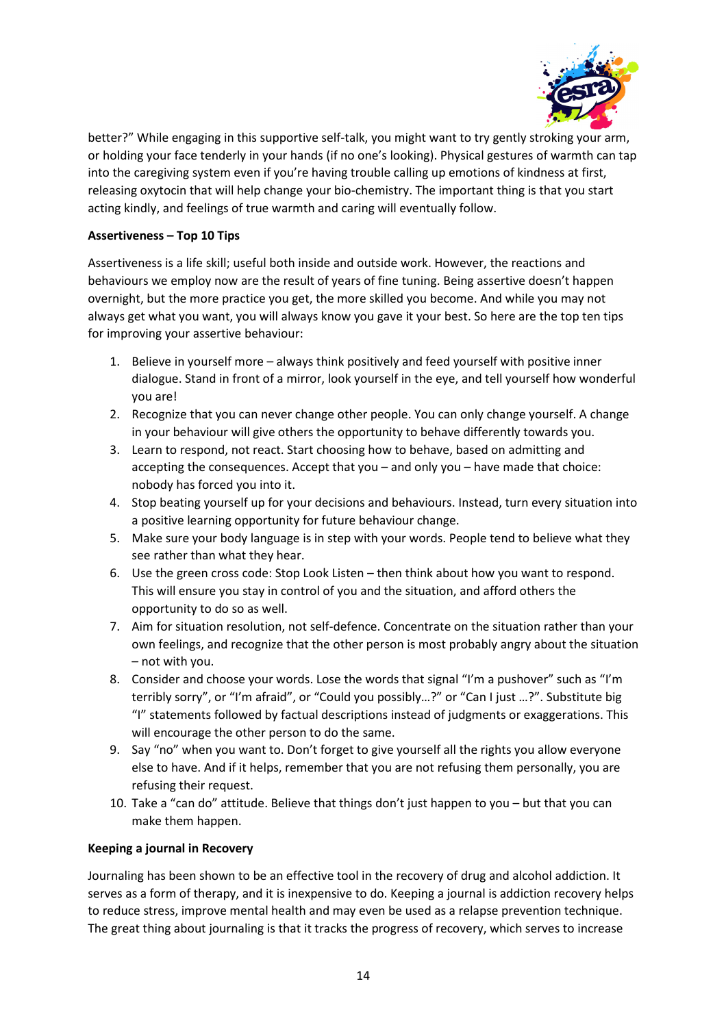

better?" While engaging in this supportive self-talk, you might want to try gently stroking your arm, or holding your face tenderly in your hands (if no one's looking). Physical gestures of warmth can tap into the caregiving system even if you're having trouble calling up emotions of kindness at first, releasing oxytocin that will help change your bio-chemistry. The important thing is that you start acting kindly, and feelings of true warmth and caring will eventually follow.

# **Assertiveness – Top 10 Tips**

Assertiveness is a life skill; useful both inside and outside work. However, the reactions and behaviours we employ now are the result of years of fine tuning. Being assertive doesn't happen overnight, but the more practice you get, the more skilled you become. And while you may not always get what you want, you will always know you gave it your best. So here are the top ten tips for improving your assertive behaviour:

- 1. Believe in yourself more always think positively and feed yourself with positive inner dialogue. Stand in front of a mirror, look yourself in the eye, and tell yourself how wonderful you are!
- 2. Recognize that you can never change other people. You can only change yourself. A change in your behaviour will give others the opportunity to behave differently towards you.
- 3. Learn to respond, not react. Start choosing how to behave, based on admitting and accepting the consequences. Accept that you – and only you – have made that choice: nobody has forced you into it.
- 4. Stop beating yourself up for your decisions and behaviours. Instead, turn every situation into a positive learning opportunity for future behaviour change.
- 5. Make sure your body language is in step with your words. People tend to believe what they see rather than what they hear.
- 6. Use the green cross code: Stop Look Listen then think about how you want to respond. This will ensure you stay in control of you and the situation, and afford others the opportunity to do so as well.
- 7. Aim for situation resolution, not self-defence. Concentrate on the situation rather than your own feelings, and recognize that the other person is most probably angry about the situation – not with you.
- 8. Consider and choose your words. Lose the words that signal "I'm a pushover" such as "I'm terribly sorry", or "I'm afraid", or "Could you possibly…?" or "Can I just …?". Substitute big "I" statements followed by factual descriptions instead of judgments or exaggerations. This will encourage the other person to do the same.
- 9. Say "no" when you want to. Don't forget to give yourself all the rights you allow everyone else to have. And if it helps, remember that you are not refusing them personally, you are refusing their request.
- 10. Take a "can do" attitude. Believe that things don't just happen to you but that you can make them happen.

# **Keeping a journal in Recovery**

Journaling has been shown to be an effective tool in the recovery of drug and alcohol addiction. It serves as a form of therapy, and it is inexpensive to do. Keeping a journal is addiction recovery helps to reduce stress, improve mental health and may even be used as a relapse prevention technique. The great thing about journaling is that it tracks the progress of recovery, which serves to increase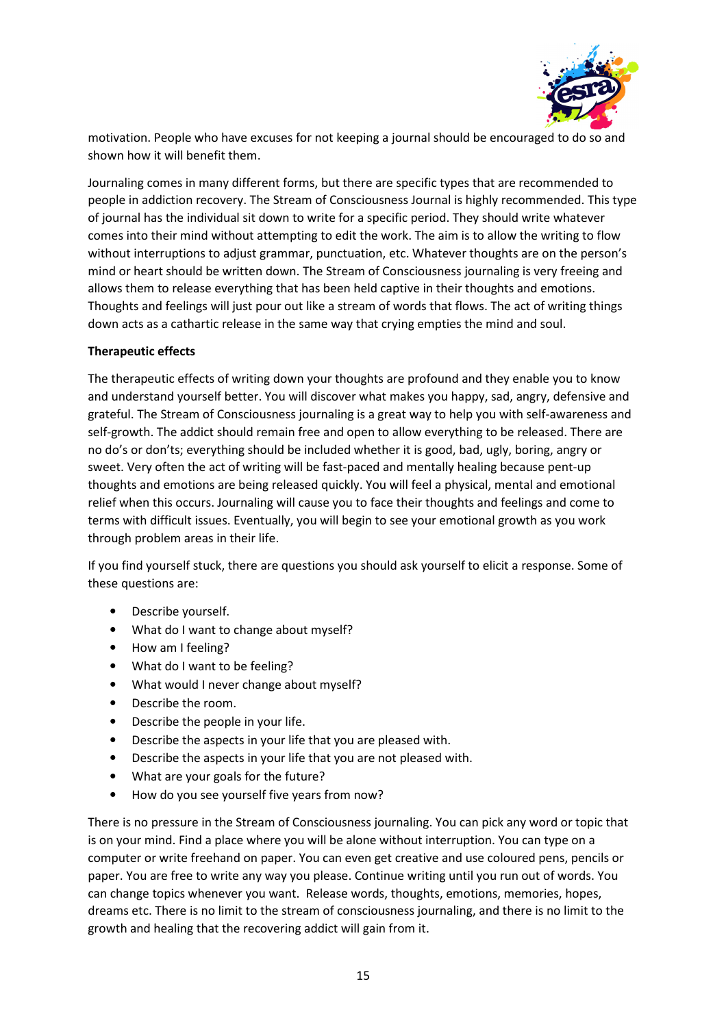

motivation. People who have excuses for not keeping a journal should be encouraged to do so and shown how it will benefit them.

Journaling comes in many different forms, but there are specific types that are recommended to people in addiction recovery. The Stream of Consciousness Journal is highly recommended. This type of journal has the individual sit down to write for a specific period. They should write whatever comes into their mind without attempting to edit the work. The aim is to allow the writing to flow without interruptions to adjust grammar, punctuation, etc. Whatever thoughts are on the person's mind or heart should be written down. The Stream of Consciousness journaling is very freeing and allows them to release everything that has been held captive in their thoughts and emotions. Thoughts and feelings will just pour out like a stream of words that flows. The act of writing things down acts as a cathartic release in the same way that crying empties the mind and soul.

# **Therapeutic effects**

The therapeutic effects of writing down your thoughts are profound and they enable you to know and understand yourself better. You will discover what makes you happy, sad, angry, defensive and grateful. The Stream of Consciousness journaling is a great way to help you with self-awareness and self-growth. The addict should remain free and open to allow everything to be released. There are no do's or don'ts; everything should be included whether it is good, bad, ugly, boring, angry or sweet. Very often the act of writing will be fast-paced and mentally healing because pent-up thoughts and emotions are being released quickly. You will feel a physical, mental and emotional relief when this occurs. Journaling will cause you to face their thoughts and feelings and come to terms with difficult issues. Eventually, you will begin to see your emotional growth as you work through problem areas in their life.

If you find yourself stuck, there are questions you should ask yourself to elicit a response. Some of these questions are:

- Describe yourself.
- What do I want to change about myself?
- How am I feeling?
- What do I want to be feeling?
- What would I never change about myself?
- Describe the room.
- Describe the people in your life.
- Describe the aspects in your life that you are pleased with.
- Describe the aspects in your life that you are not pleased with.
- What are your goals for the future?
- How do you see yourself five years from now?

There is no pressure in the Stream of Consciousness journaling. You can pick any word or topic that is on your mind. Find a place where you will be alone without interruption. You can type on a computer or write freehand on paper. You can even get creative and use coloured pens, pencils or paper. You are free to write any way you please. Continue writing until you run out of words. You can change topics whenever you want. Release words, thoughts, emotions, memories, hopes, dreams etc. There is no limit to the stream of consciousness journaling, and there is no limit to the growth and healing that the recovering addict will gain from it.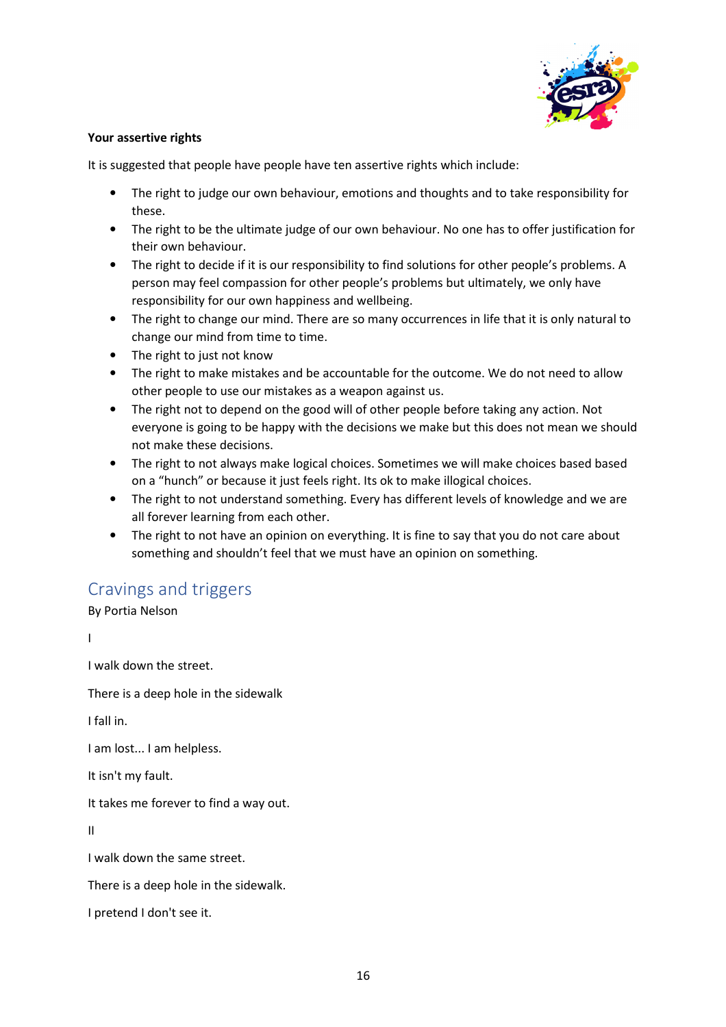

# **Your assertive rights**

It is suggested that people have people have ten assertive rights which include:

- The right to judge our own behaviour, emotions and thoughts and to take responsibility for these.
- The right to be the ultimate judge of our own behaviour. No one has to offer justification for their own behaviour.
- The right to decide if it is our responsibility to find solutions for other people's problems. A person may feel compassion for other people's problems but ultimately, we only have responsibility for our own happiness and wellbeing.
- The right to change our mind. There are so many occurrences in life that it is only natural to change our mind from time to time.
- The right to just not know
- The right to make mistakes and be accountable for the outcome. We do not need to allow other people to use our mistakes as a weapon against us.
- The right not to depend on the good will of other people before taking any action. Not everyone is going to be happy with the decisions we make but this does not mean we should not make these decisions.
- The right to not always make logical choices. Sometimes we will make choices based based on a "hunch" or because it just feels right. Its ok to make illogical choices.
- The right to not understand something. Every has different levels of knowledge and we are all forever learning from each other.
- The right to not have an opinion on everything. It is fine to say that you do not care about something and shouldn't feel that we must have an opinion on something.

# Cravings and triggers

By Portia Nelson

I I walk down the street. There is a deep hole in the sidewalk I fall in. I am lost... I am helpless. It isn't my fault. It takes me forever to find a way out. II I walk down the same street. There is a deep hole in the sidewalk. I pretend I don't see it.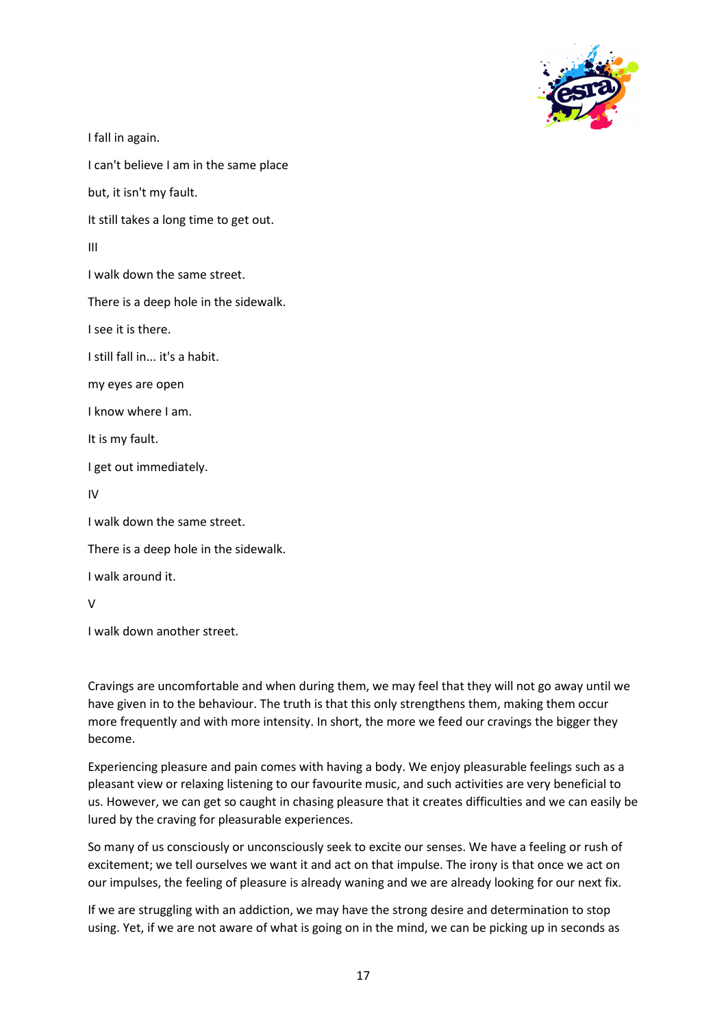

I fall in again. I can't believe I am in the same place but, it isn't my fault. It still takes a long time to get out. III I walk down the same street. There is a deep hole in the sidewalk. I see it is there. I still fall in... it's a habit. my eyes are open I know where I am. It is my fault. I get out immediately. IV I walk down the same street. There is a deep hole in the sidewalk. I walk around it. V

I walk down another street.

Cravings are uncomfortable and when during them, we may feel that they will not go away until we have given in to the behaviour. The truth is that this only strengthens them, making them occur more frequently and with more intensity. In short, the more we feed our cravings the bigger they become.

Experiencing pleasure and pain comes with having a body. We enjoy pleasurable feelings such as a pleasant view or relaxing listening to our favourite music, and such activities are very beneficial to us. However, we can get so caught in chasing pleasure that it creates difficulties and we can easily be lured by the craving for pleasurable experiences.

So many of us consciously or unconsciously seek to excite our senses. We have a feeling or rush of excitement; we tell ourselves we want it and act on that impulse. The irony is that once we act on our impulses, the feeling of pleasure is already waning and we are already looking for our next fix.

If we are struggling with an addiction, we may have the strong desire and determination to stop using. Yet, if we are not aware of what is going on in the mind, we can be picking up in seconds as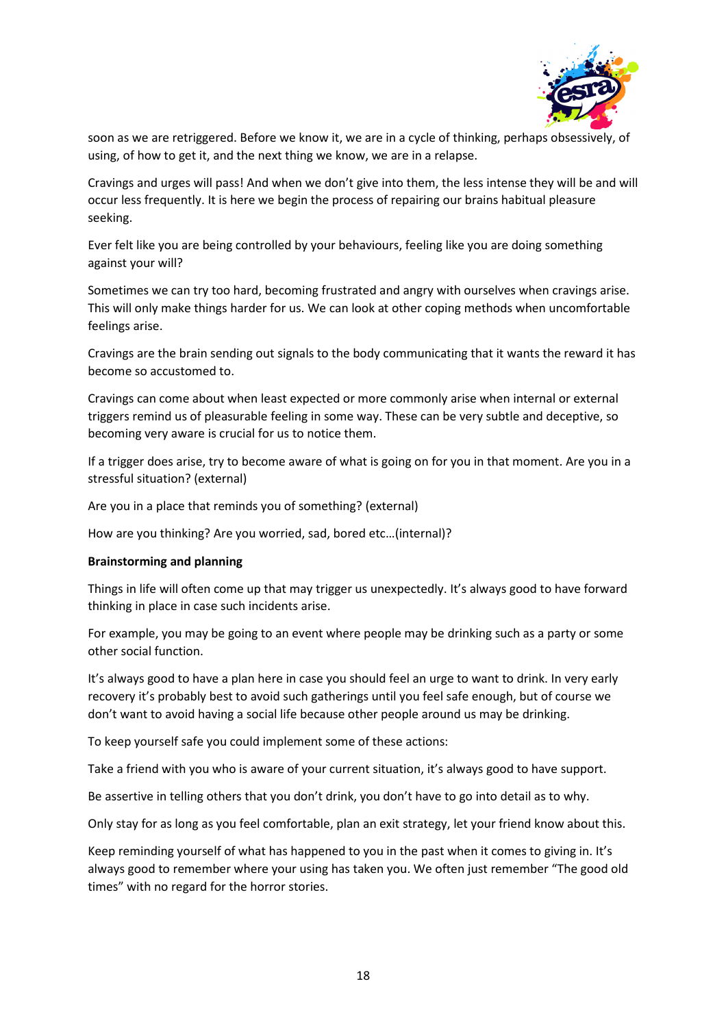

soon as we are retriggered. Before we know it, we are in a cycle of thinking, perhaps obsessively, of using, of how to get it, and the next thing we know, we are in a relapse.

Cravings and urges will pass! And when we don't give into them, the less intense they will be and will occur less frequently. It is here we begin the process of repairing our brains habitual pleasure seeking.

Ever felt like you are being controlled by your behaviours, feeling like you are doing something against your will?

Sometimes we can try too hard, becoming frustrated and angry with ourselves when cravings arise. This will only make things harder for us. We can look at other coping methods when uncomfortable feelings arise.

Cravings are the brain sending out signals to the body communicating that it wants the reward it has become so accustomed to.

Cravings can come about when least expected or more commonly arise when internal or external triggers remind us of pleasurable feeling in some way. These can be very subtle and deceptive, so becoming very aware is crucial for us to notice them.

If a trigger does arise, try to become aware of what is going on for you in that moment. Are you in a stressful situation? (external)

Are you in a place that reminds you of something? (external)

How are you thinking? Are you worried, sad, bored etc…(internal)?

# **Brainstorming and planning**

Things in life will often come up that may trigger us unexpectedly. It's always good to have forward thinking in place in case such incidents arise.

For example, you may be going to an event where people may be drinking such as a party or some other social function.

It's always good to have a plan here in case you should feel an urge to want to drink. In very early recovery it's probably best to avoid such gatherings until you feel safe enough, but of course we don't want to avoid having a social life because other people around us may be drinking.

To keep yourself safe you could implement some of these actions:

Take a friend with you who is aware of your current situation, it's always good to have support.

Be assertive in telling others that you don't drink, you don't have to go into detail as to why.

Only stay for as long as you feel comfortable, plan an exit strategy, let your friend know about this.

Keep reminding yourself of what has happened to you in the past when it comes to giving in. It's always good to remember where your using has taken you. We often just remember "The good old times" with no regard for the horror stories.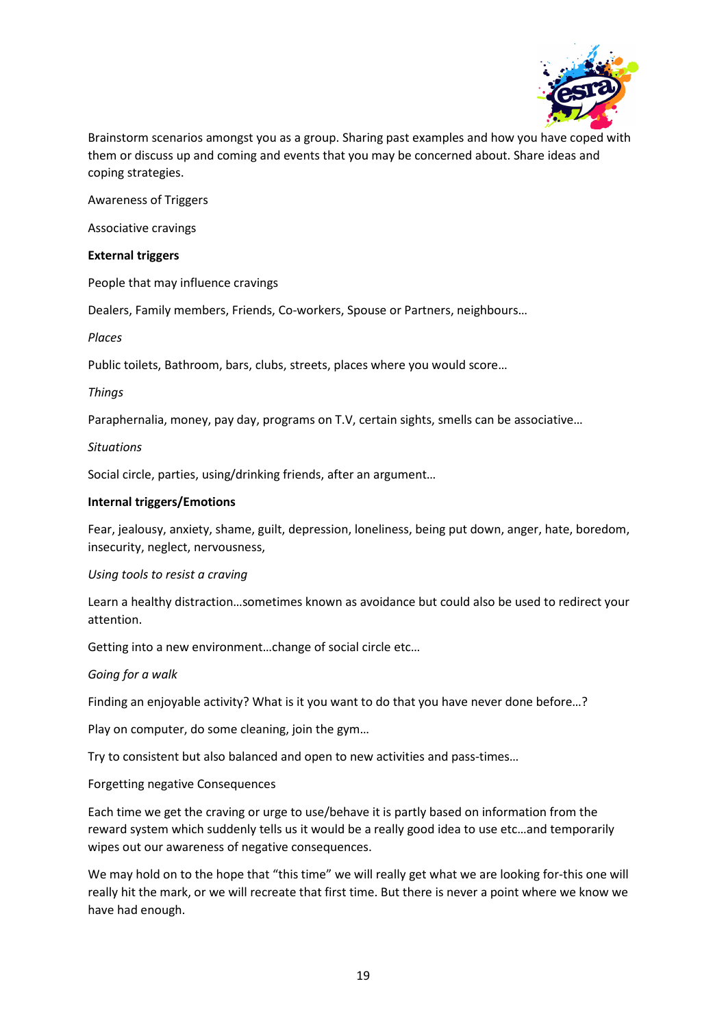

Brainstorm scenarios amongst you as a group. Sharing past examples and how you have coped with them or discuss up and coming and events that you may be concerned about. Share ideas and coping strategies.

Awareness of Triggers

Associative cravings

#### **External triggers**

People that may influence cravings

Dealers, Family members, Friends, Co-workers, Spouse or Partners, neighbours…

#### *Places*

Public toilets, Bathroom, bars, clubs, streets, places where you would score…

#### *Things*

Paraphernalia, money, pay day, programs on T.V, certain sights, smells can be associative…

#### *Situations*

Social circle, parties, using/drinking friends, after an argument…

#### **Internal triggers/Emotions**

Fear, jealousy, anxiety, shame, guilt, depression, loneliness, being put down, anger, hate, boredom, insecurity, neglect, nervousness,

#### *Using tools to resist a craving*

Learn a healthy distraction…sometimes known as avoidance but could also be used to redirect your attention.

Getting into a new environment…change of social circle etc…

#### *Going for a walk*

Finding an enjoyable activity? What is it you want to do that you have never done before…?

Play on computer, do some cleaning, join the gym…

Try to consistent but also balanced and open to new activities and pass-times…

# Forgetting negative Consequences

Each time we get the craving or urge to use/behave it is partly based on information from the reward system which suddenly tells us it would be a really good idea to use etc…and temporarily wipes out our awareness of negative consequences.

We may hold on to the hope that "this time" we will really get what we are looking for-this one will really hit the mark, or we will recreate that first time. But there is never a point where we know we have had enough.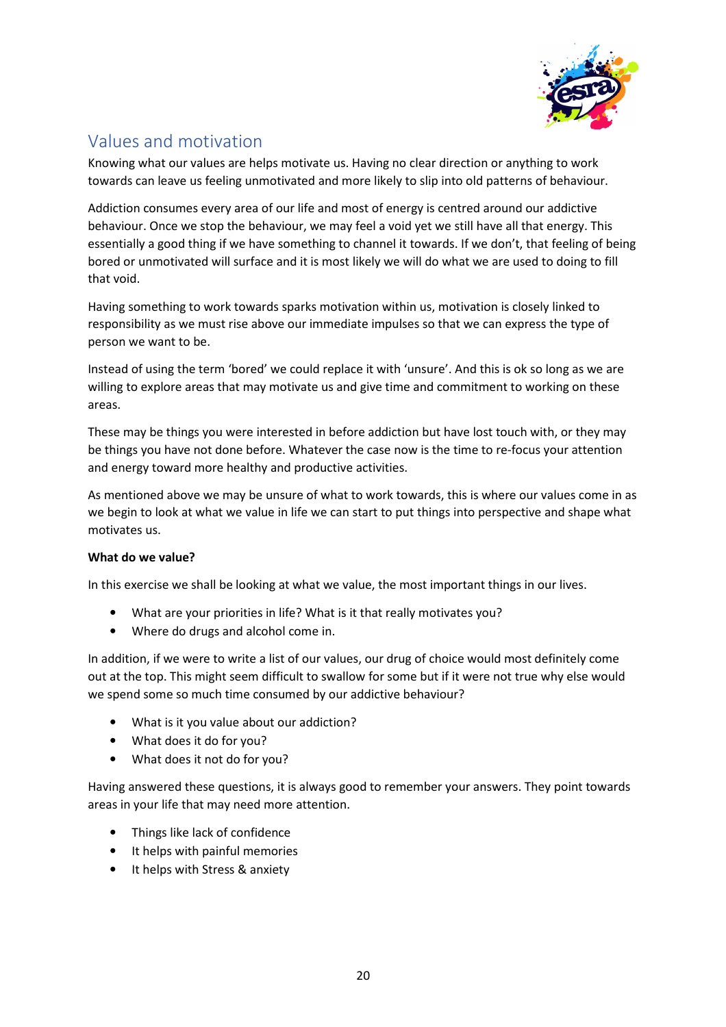

# Values and motivation

Knowing what our values are helps motivate us. Having no clear direction or anything to work towards can leave us feeling unmotivated and more likely to slip into old patterns of behaviour.

Addiction consumes every area of our life and most of energy is centred around our addictive behaviour. Once we stop the behaviour, we may feel a void yet we still have all that energy. This essentially a good thing if we have something to channel it towards. If we don't, that feeling of being bored or unmotivated will surface and it is most likely we will do what we are used to doing to fill that void.

Having something to work towards sparks motivation within us, motivation is closely linked to responsibility as we must rise above our immediate impulses so that we can express the type of person we want to be.

Instead of using the term 'bored' we could replace it with 'unsure'. And this is ok so long as we are willing to explore areas that may motivate us and give time and commitment to working on these areas.

These may be things you were interested in before addiction but have lost touch with, or they may be things you have not done before. Whatever the case now is the time to re-focus your attention and energy toward more healthy and productive activities.

As mentioned above we may be unsure of what to work towards, this is where our values come in as we begin to look at what we value in life we can start to put things into perspective and shape what motivates us.

# **What do we value?**

In this exercise we shall be looking at what we value, the most important things in our lives.

- What are your priorities in life? What is it that really motivates you?
- Where do drugs and alcohol come in.

In addition, if we were to write a list of our values, our drug of choice would most definitely come out at the top. This might seem difficult to swallow for some but if it were not true why else would we spend some so much time consumed by our addictive behaviour?

- What is it you value about our addiction?
- What does it do for you?
- What does it not do for you?

Having answered these questions, it is always good to remember your answers. They point towards areas in your life that may need more attention.

- Things like lack of confidence
- It helps with painful memories
- It helps with Stress & anxiety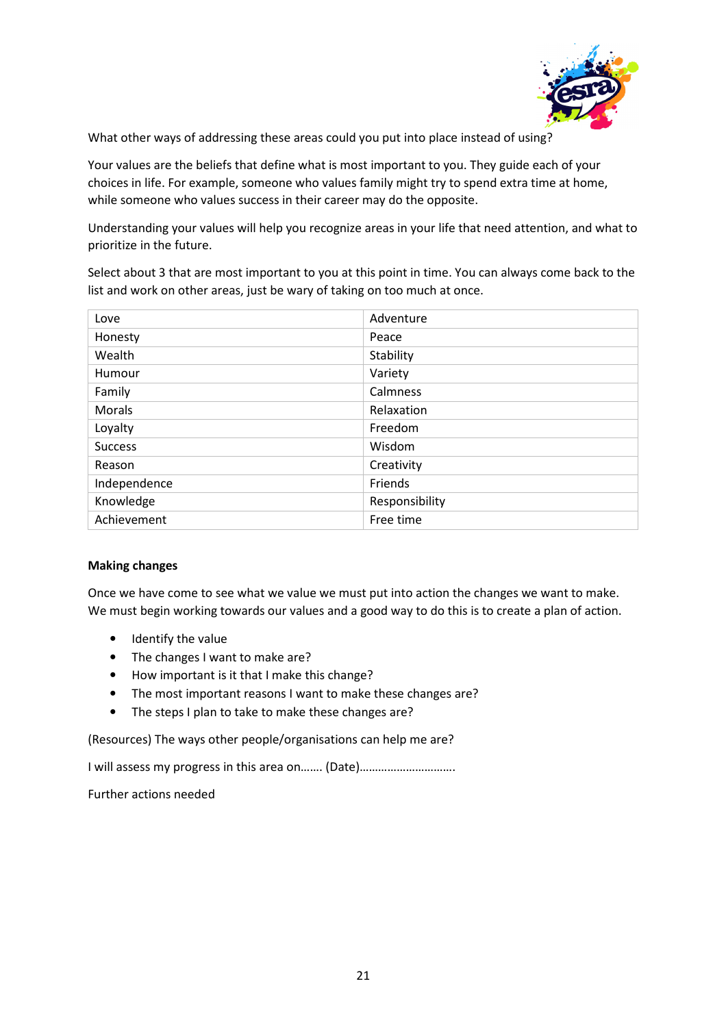

What other ways of addressing these areas could you put into place instead of using?

Your values are the beliefs that define what is most important to you. They guide each of your choices in life. For example, someone who values family might try to spend extra time at home, while someone who values success in their career may do the opposite.

Understanding your values will help you recognize areas in your life that need attention, and what to prioritize in the future.

Select about 3 that are most important to you at this point in time. You can always come back to the list and work on other areas, just be wary of taking on too much at once.

| Love           | Adventure      |
|----------------|----------------|
| Honesty        | Peace          |
| Wealth         | Stability      |
| Humour         | Variety        |
| Family         | Calmness       |
| <b>Morals</b>  | Relaxation     |
| Loyalty        | Freedom        |
| <b>Success</b> | Wisdom         |
| Reason         | Creativity     |
| Independence   | Friends        |
| Knowledge      | Responsibility |
| Achievement    | Free time      |

# **Making changes**

Once we have come to see what we value we must put into action the changes we want to make. We must begin working towards our values and a good way to do this is to create a plan of action.

- Identify the value
- The changes I want to make are?
- How important is it that I make this change?
- The most important reasons I want to make these changes are?
- The steps I plan to take to make these changes are?

(Resources) The ways other people/organisations can help me are?

I will assess my progress in this area on……. (Date)………………………….

Further actions needed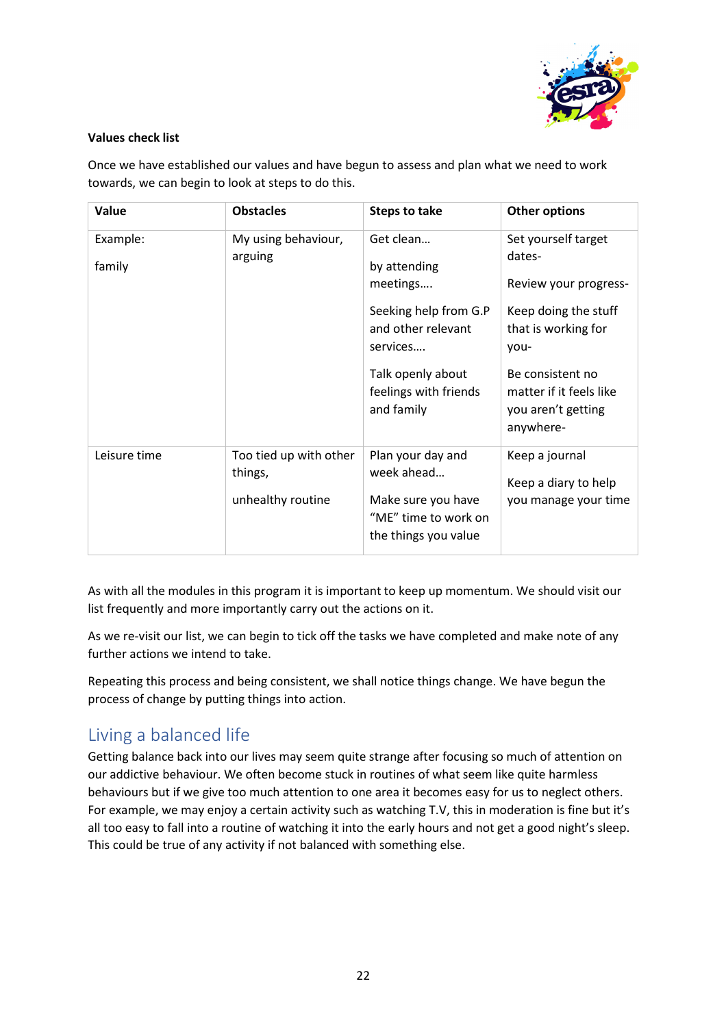

# **Values check list**

Once we have established our values and have begun to assess and plan what we need to work towards, we can begin to look at steps to do this.

| Value              | <b>Obstacles</b>                                       | <b>Steps to take</b>                                                                                                                                         | <b>Other options</b>                                                                                                                                                                            |
|--------------------|--------------------------------------------------------|--------------------------------------------------------------------------------------------------------------------------------------------------------------|-------------------------------------------------------------------------------------------------------------------------------------------------------------------------------------------------|
| Example:<br>family | My using behaviour,<br>arguing                         | Get clean<br>by attending<br>meetings<br>Seeking help from G.P<br>and other relevant<br>services<br>Talk openly about<br>feelings with friends<br>and family | Set yourself target<br>dates-<br>Review your progress-<br>Keep doing the stuff<br>that is working for<br>you-<br>Be consistent no<br>matter if it feels like<br>you aren't getting<br>anywhere- |
| Leisure time       | Too tied up with other<br>things,<br>unhealthy routine | Plan your day and<br>week ahead<br>Make sure you have<br>"ME" time to work on<br>the things you value                                                        | Keep a journal<br>Keep a diary to help<br>you manage your time                                                                                                                                  |

As with all the modules in this program it is important to keep up momentum. We should visit our list frequently and more importantly carry out the actions on it.

As we re-visit our list, we can begin to tick off the tasks we have completed and make note of any further actions we intend to take.

Repeating this process and being consistent, we shall notice things change. We have begun the process of change by putting things into action.

# Living a balanced life

Getting balance back into our lives may seem quite strange after focusing so much of attention on our addictive behaviour. We often become stuck in routines of what seem like quite harmless behaviours but if we give too much attention to one area it becomes easy for us to neglect others. For example, we may enjoy a certain activity such as watching T.V, this in moderation is fine but it's all too easy to fall into a routine of watching it into the early hours and not get a good night's sleep. This could be true of any activity if not balanced with something else.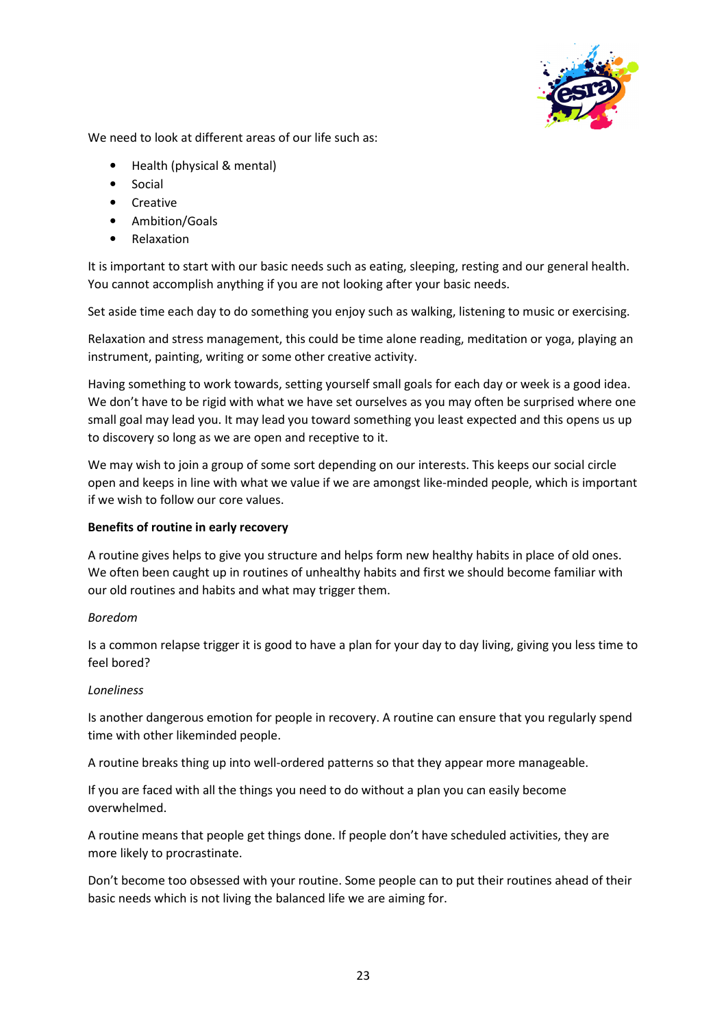

We need to look at different areas of our life such as:

- Health (physical & mental)
- Social
- Creative
- Ambition/Goals
- Relaxation

It is important to start with our basic needs such as eating, sleeping, resting and our general health. You cannot accomplish anything if you are not looking after your basic needs.

Set aside time each day to do something you enjoy such as walking, listening to music or exercising.

Relaxation and stress management, this could be time alone reading, meditation or yoga, playing an instrument, painting, writing or some other creative activity.

Having something to work towards, setting yourself small goals for each day or week is a good idea. We don't have to be rigid with what we have set ourselves as you may often be surprised where one small goal may lead you. It may lead you toward something you least expected and this opens us up to discovery so long as we are open and receptive to it.

We may wish to join a group of some sort depending on our interests. This keeps our social circle open and keeps in line with what we value if we are amongst like-minded people, which is important if we wish to follow our core values.

# **Benefits of routine in early recovery**

A routine gives helps to give you structure and helps form new healthy habits in place of old ones. We often been caught up in routines of unhealthy habits and first we should become familiar with our old routines and habits and what may trigger them.

# *Boredom*

Is a common relapse trigger it is good to have a plan for your day to day living, giving you less time to feel bored?

# *Loneliness*

Is another dangerous emotion for people in recovery. A routine can ensure that you regularly spend time with other likeminded people.

A routine breaks thing up into well-ordered patterns so that they appear more manageable.

If you are faced with all the things you need to do without a plan you can easily become overwhelmed.

A routine means that people get things done. If people don't have scheduled activities, they are more likely to procrastinate.

Don't become too obsessed with your routine. Some people can to put their routines ahead of their basic needs which is not living the balanced life we are aiming for.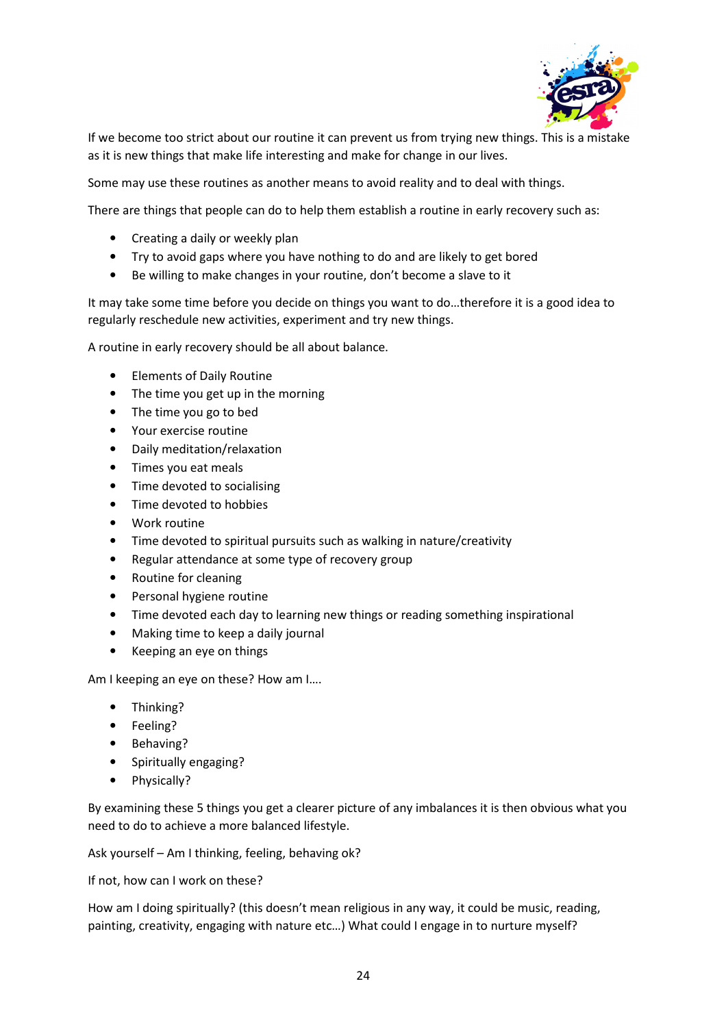

If we become too strict about our routine it can prevent us from trying new things. This is a mistake as it is new things that make life interesting and make for change in our lives.

Some may use these routines as another means to avoid reality and to deal with things.

There are things that people can do to help them establish a routine in early recovery such as:

- Creating a daily or weekly plan
- Try to avoid gaps where you have nothing to do and are likely to get bored
- Be willing to make changes in your routine, don't become a slave to it

It may take some time before you decide on things you want to do…therefore it is a good idea to regularly reschedule new activities, experiment and try new things.

A routine in early recovery should be all about balance.

- Elements of Daily Routine
- The time you get up in the morning
- The time you go to bed
- Your exercise routine
- Daily meditation/relaxation
- Times you eat meals
- Time devoted to socialising
- Time devoted to hobbies
- Work routine
- Time devoted to spiritual pursuits such as walking in nature/creativity
- Regular attendance at some type of recovery group
- Routine for cleaning
- Personal hygiene routine
- Time devoted each day to learning new things or reading something inspirational
- Making time to keep a daily journal
- Keeping an eye on things

Am I keeping an eye on these? How am I….

- Thinking?
- Feeling?
- Behaving?
- Spiritually engaging?
- Physically?

By examining these 5 things you get a clearer picture of any imbalances it is then obvious what you need to do to achieve a more balanced lifestyle.

Ask yourself – Am I thinking, feeling, behaving ok?

If not, how can I work on these?

How am I doing spiritually? (this doesn't mean religious in any way, it could be music, reading, painting, creativity, engaging with nature etc…) What could I engage in to nurture myself?